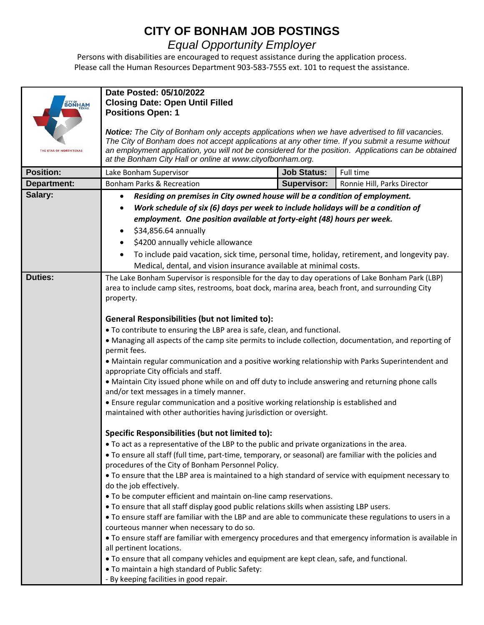## **CITY OF BONHAM JOB POSTINGS**

## *Equal Opportunity Employer*

Persons with disabilities are encouraged to request assistance during the application process. Please call the Human Resources Department 903-583-7555 ext. 101 to request the assistance.

| <b>BONHAM</b><br>THE STAR OF NORTH TEXAS | Date Posted: 05/10/2022<br><b>Closing Date: Open Until Filled</b><br><b>Positions Open: 1</b><br>Notice: The City of Bonham only accepts applications when we have advertised to fill vacancies.<br>The City of Bonham does not accept applications at any other time. If you submit a resume without<br>an employment application, you will not be considered for the position. Applications can be obtained<br>at the Bonham City Hall or online at www.cityofbonham.org.                                                                                                                                                                                                                                                                                                                                                                                                                                                                                                                                                                                                                                                                                                                                                                                                                                                                                                                                                                                                                                                                                                                                                                                                                                                                                                                           |                    |                             |
|------------------------------------------|-------------------------------------------------------------------------------------------------------------------------------------------------------------------------------------------------------------------------------------------------------------------------------------------------------------------------------------------------------------------------------------------------------------------------------------------------------------------------------------------------------------------------------------------------------------------------------------------------------------------------------------------------------------------------------------------------------------------------------------------------------------------------------------------------------------------------------------------------------------------------------------------------------------------------------------------------------------------------------------------------------------------------------------------------------------------------------------------------------------------------------------------------------------------------------------------------------------------------------------------------------------------------------------------------------------------------------------------------------------------------------------------------------------------------------------------------------------------------------------------------------------------------------------------------------------------------------------------------------------------------------------------------------------------------------------------------------------------------------------------------------------------------------------------------------|--------------------|-----------------------------|
| <b>Position:</b>                         | Lake Bonham Supervisor                                                                                                                                                                                                                                                                                                                                                                                                                                                                                                                                                                                                                                                                                                                                                                                                                                                                                                                                                                                                                                                                                                                                                                                                                                                                                                                                                                                                                                                                                                                                                                                                                                                                                                                                                                                | <b>Job Status:</b> | Full time                   |
| Department:                              | <b>Bonham Parks &amp; Recreation</b>                                                                                                                                                                                                                                                                                                                                                                                                                                                                                                                                                                                                                                                                                                                                                                                                                                                                                                                                                                                                                                                                                                                                                                                                                                                                                                                                                                                                                                                                                                                                                                                                                                                                                                                                                                  | <b>Supervisor:</b> | Ronnie Hill, Parks Director |
| Salary:                                  | Residing on premises in City owned house will be a condition of employment.<br>$\bullet$                                                                                                                                                                                                                                                                                                                                                                                                                                                                                                                                                                                                                                                                                                                                                                                                                                                                                                                                                                                                                                                                                                                                                                                                                                                                                                                                                                                                                                                                                                                                                                                                                                                                                                              |                    |                             |
|                                          | Work schedule of six (6) days per week to include holidays will be a condition of<br>٠                                                                                                                                                                                                                                                                                                                                                                                                                                                                                                                                                                                                                                                                                                                                                                                                                                                                                                                                                                                                                                                                                                                                                                                                                                                                                                                                                                                                                                                                                                                                                                                                                                                                                                                |                    |                             |
|                                          | employment. One position available at forty-eight (48) hours per week.                                                                                                                                                                                                                                                                                                                                                                                                                                                                                                                                                                                                                                                                                                                                                                                                                                                                                                                                                                                                                                                                                                                                                                                                                                                                                                                                                                                                                                                                                                                                                                                                                                                                                                                                |                    |                             |
|                                          | \$34,856.64 annually                                                                                                                                                                                                                                                                                                                                                                                                                                                                                                                                                                                                                                                                                                                                                                                                                                                                                                                                                                                                                                                                                                                                                                                                                                                                                                                                                                                                                                                                                                                                                                                                                                                                                                                                                                                  |                    |                             |
|                                          | \$4200 annually vehicle allowance                                                                                                                                                                                                                                                                                                                                                                                                                                                                                                                                                                                                                                                                                                                                                                                                                                                                                                                                                                                                                                                                                                                                                                                                                                                                                                                                                                                                                                                                                                                                                                                                                                                                                                                                                                     |                    |                             |
|                                          | To include paid vacation, sick time, personal time, holiday, retirement, and longevity pay.                                                                                                                                                                                                                                                                                                                                                                                                                                                                                                                                                                                                                                                                                                                                                                                                                                                                                                                                                                                                                                                                                                                                                                                                                                                                                                                                                                                                                                                                                                                                                                                                                                                                                                           |                    |                             |
|                                          | Medical, dental, and vision insurance available at minimal costs.                                                                                                                                                                                                                                                                                                                                                                                                                                                                                                                                                                                                                                                                                                                                                                                                                                                                                                                                                                                                                                                                                                                                                                                                                                                                                                                                                                                                                                                                                                                                                                                                                                                                                                                                     |                    |                             |
| <b>Duties:</b>                           | The Lake Bonham Supervisor is responsible for the day to day operations of Lake Bonham Park (LBP)<br>area to include camp sites, restrooms, boat dock, marina area, beach front, and surrounding City<br>property.                                                                                                                                                                                                                                                                                                                                                                                                                                                                                                                                                                                                                                                                                                                                                                                                                                                                                                                                                                                                                                                                                                                                                                                                                                                                                                                                                                                                                                                                                                                                                                                    |                    |                             |
|                                          | <b>General Responsibilities (but not limited to):</b><br>. To contribute to ensuring the LBP area is safe, clean, and functional.<br>• Managing all aspects of the camp site permits to include collection, documentation, and reporting of<br>permit fees.<br>· Maintain regular communication and a positive working relationship with Parks Superintendent and<br>appropriate City officials and staff.<br>• Maintain City issued phone while on and off duty to include answering and returning phone calls<br>and/or text messages in a timely manner.<br>• Ensure regular communication and a positive working relationship is established and<br>maintained with other authorities having jurisdiction or oversight.<br>Specific Responsibilities (but not limited to):<br>. To act as a representative of the LBP to the public and private organizations in the area.<br>• To ensure all staff (full time, part-time, temporary, or seasonal) are familiar with the policies and<br>procedures of the City of Bonham Personnel Policy.<br>• To ensure that the LBP area is maintained to a high standard of service with equipment necessary to<br>do the job effectively.<br>• To be computer efficient and maintain on-line camp reservations.<br>. To ensure that all staff display good public relations skills when assisting LBP users.<br>. To ensure staff are familiar with the LBP and are able to communicate these regulations to users in a<br>courteous manner when necessary to do so.<br>. To ensure staff are familiar with emergency procedures and that emergency information is available in<br>all pertinent locations.<br>• To ensure that all company vehicles and equipment are kept clean, safe, and functional.<br>. To maintain a high standard of Public Safety: |                    |                             |